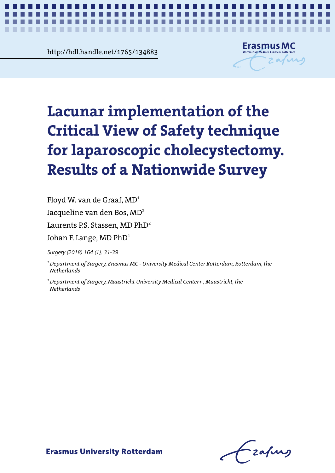<u>Rup://Raharande.net/1/65/134883</u><br>
Experience http://hdl.handle.net/1765/134883



*Safety in laparoscopic cholecystectomy* **1**

# Lacunar implementation of the Critical **Critical View of Safety technique**  for laparoscopic cholecystectomy.  $\,$ cholecystectomy. Results of a Nationwide **Results of a Nationwide Survey Lacunar implementation of the**

 $\mathbf{S}$  survey Floyd W. van de Graaf, MD $^{\rm 1}$ 

Jacqueline van den Bos, MD<sup>2</sup>

Laurents P.S. Stassen, MD PhD<sup>2</sup>

Johan F. Lange, MD PhD $^{\text{1}}$ 

Jacqueline van den Bos, MD<sup>2</sup> *Surgery (2018) 164 (1), 31-39*

<sup>1</sup> Department of Surgery, Erasmus MC - University Medical Center Rotterdam, Rotterdam, the  $N$ etherlands

*Surgery (2018) 164 (1), 31-39 Netherlands2 Department of Surgery, Maastricht University Medical Center+ , Maastricht, the* 

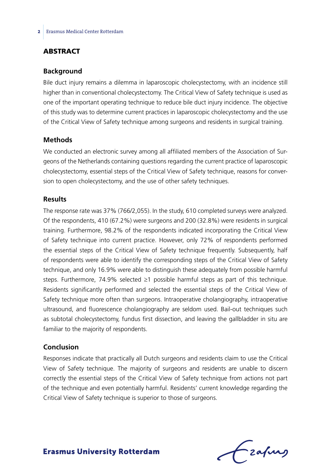## **ABSTRACT**

#### **Background**

Bile duct injury remains a dilemma in laparoscopic cholecystectomy, with an incidence still higher than in conventional cholecystectomy. The Critical View of Safety technique is used as one of the important operating technique to reduce bile duct injury incidence. The objective of this study was to determine current practices in laparoscopic cholecystectomy and the use of the Critical View of Safety technique among surgeons and residents in surgical training.

### **Methods**

We conducted an electronic survey among all affiliated members of the Association of Surgeons of the Netherlands containing questions regarding the current practice of laparoscopic cholecystectomy, essential steps of the Critical View of Safety technique, reasons for conversion to open cholecystectomy, and the use of other safety techniques.

## **Results**

The response rate was 37% (766/2,055). In the study, 610 completed surveys were analyzed. Of the respondents, 410 (67.2%) were surgeons and 200 (32.8%) were residents in surgical training. Furthermore, 98.2% of the respondents indicated incorporating the Critical View of Safety technique into current practice. However, only 72% of respondents performed the essential steps of the Critical View of Safety technique frequently. Subsequently, half of respondents were able to identify the corresponding steps of the Critical View of Safety technique, and only 16.9% were able to distinguish these adequately from possible harmful steps. Furthermore, 74.9% selected ≥1 possible harmful steps as part of this technique. Residents significantly performed and selected the essential steps of the Critical View of Safety technique more often than surgeons. Intraoperative cholangiography, intraoperative ultrasound, and fluorescence cholangiography are seldom used. Bail-out techniques such as subtotal cholecystectomy, fundus first dissection, and leaving the gallbladder in situ are familiar to the majority of respondents.

## **Conclusion**

Responses indicate that practically all Dutch surgeons and residents claim to use the Critical View of Safety technique. The majority of surgeons and residents are unable to discern correctly the essential steps of the Critical View of Safety technique from actions not part of the technique and even potentially harmful. Residents' current knowledge regarding the Critical View of Safety technique is superior to those of surgeons.

frafing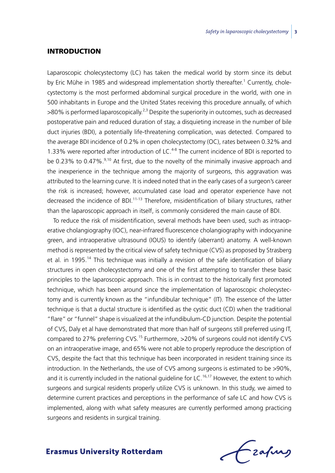#### Introduction

Laparoscopic cholecystectomy (LC) has taken the medical world by storm since its debut by Eric Mühe in 1985 and widespread implementation shortly thereafter.<sup>1</sup> Currently, cholecystectomy is the most performed abdominal surgical procedure in the world, with one in 500 inhabitants in Europe and the United States receiving this procedure annually, of which  $>80\%$  is performed laparoscopically.<sup>2,3</sup> Despite the superiority in outcomes, such as decreased postoperative pain and reduced duration of stay, a disquieting increase in the number of bile duct injuries (BDI), a potentially life-threatening complication, was detected. Compared to the average BDI incidence of 0.2% in open cholecystectomy (OC), rates between 0.32% and 1.33% were reported after introduction of LC.<sup>4-8</sup> The current incidence of BDI is reported to be 0.23% to 0.47%.<sup>9,10</sup> At first, due to the novelty of the minimally invasive approach and the inexperience in the technique among the majority of surgeons, this aggravation was attributed to the learning curve. It is indeed noted that in the early cases of a surgeon's career the risk is increased; however, accumulated case load and operator experience have not decreased the incidence of BDI.<sup>11-13</sup> Therefore, misidentification of biliary structures, rather than the laparoscopic approach in itself, is commonly considered the main cause of BDI.

To reduce the risk of misidentification, several methods have been used, such as intraoperative cholangiography (IOC), near-infrared fluorescence cholangiography with indocyanine green, and intraoperative ultrasound (IOUS) to identify (aberrant) anatomy. A well-known method is represented by the critical view of safety technique (CVS) as proposed by Strasberg et al. in 1995.<sup>14</sup> This technique was initially a revision of the safe identification of biliary structures in open cholecystectomy and one of the first attempting to transfer these basic principles to the laparoscopic approach. This is in contrast to the historically first promoted technique, which has been around since the implementation of laparoscopic cholecystectomy and is currently known as the "infundibular technique" (IT). The essence of the latter technique is that a ductal structure is identified as the cystic duct (CD) when the traditional "flare" or "funnel" shape is visualized at the infundibulum-CD junction. Despite the potential of CVS, Daly et al have demonstrated that more than half of surgeons still preferred using IT, compared to 27% preferring CVS.<sup>15</sup> Furthermore, >20% of surgeons could not identify CVS on an intraoperative image, and 65% were not able to properly reproduce the description of CVS, despite the fact that this technique has been incorporated in resident training since its introduction. In the Netherlands, the use of CVS among surgeons is estimated to be >90%, and it is currently included in the national guideline for LC.<sup>16,17</sup> However, the extent to which surgeons and surgical residents properly utilize CVS is unknown. In this study, we aimed to determine current practices and perceptions in the performance of safe LC and how CVS is implemented, along with what safety measures are currently performed among practicing surgeons and residents in surgical training.

Frahing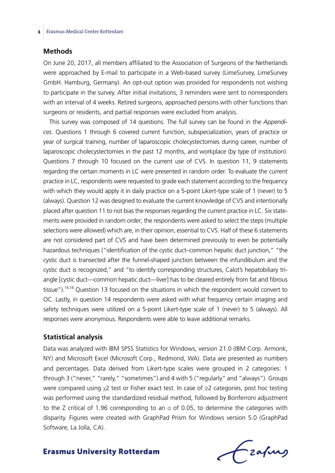#### **Methods**

On June 20, 2017, all members affiliated to the Association of Surgeons of the Netherlands were approached by E-mail to participate in a Web-based survey (LimeSurvey, LimeSurvey GmbH. Hamburg, Germany). An opt-out option was provided for respondents not wishing to participate in the survey. After initial invitations, 3 reminders were sent to nonresponders with an interval of 4 weeks. Retired surgeons, approached persons with other functions than surgeons or residents, and partial responses were excluded from analysis.

This survey was composed of 14 questions. The full survey can be found in the *Appendices*. Questions 1 through 6 covered current function, subspecialization, years of practice or year of surgical training, number of laparoscopic cholecystectomies during career, number of laparoscopic cholecystectomies in the past 12 months, and workplace (by type of institution). Questions 7 through 10 focused on the current use of CVS. In question 11, 9 statements regarding the certain moments in LC were presented in random order. To evaluate the current practice in LC, respondents were requested to grade each statement according to the frequency with which they would apply it in daily practice on a 5-point Likert-type scale of 1 (never) to 5 (always). Question 12 was designed to evaluate the current knowledge of CVS and intentionally placed after question 11 to not bias the responses regarding the current practice in LC. Six statements were provided in random order; the respondents were asked to select the steps (multiple selections were allowed) which are, in their opinion, essential to CVS. Half of these 6 statements are not considered part of CVS and have been determined previously to even be potentially hazardous techniques ("identification of the cystic duct–common hepatic duct junction," "the cystic duct is transected after the funnel-shaped junction between the infundibulum and the cystic duct is recognized," and "to identify corresponding structures, Calot's hepatobiliary triangle [cystic duct—common hepatic duct—liver] has to be cleared entirely from fat and fibrous tissue").<sup>14,18</sup> Question 13 focused on the situations in which the respondent would convert to OC. Lastly, in question 14 respondents were asked with what frequency certain imaging and safety techniques were utilized on a 5-point Likert-type scale of 1 (never) to 5 (always). All responses were anonymous. Respondents were able to leave additional remarks.

## **Statistical analysis**

Data was analyzed with IBM SPSS Statistics for Windows, version 21.0 (IBM Corp. Armonk, NY) and Microsoft Excel (Microsoft Corp., Redmond, WA). Data are presented as numbers and percentages. Data derived from Likert-type scales were grouped in 2 categories: 1 through 3 ("never," "rarely," "sometimes") and 4 with 5 ("regularly" and "always"). Groups were compared using  $\chi$ 2 test or Fisher exact test. In case of  $\geq$ 2 categories, post hoc testing was performed using the standardized residual method, followed by Bonferroni adjustment to the Z critical of 1.96 corresponding to an  $\alpha$  of 0.05, to determine the categories with disparity. Figures were created with GraphPad Prism for Windows version 5.0 (GraphPad Software, La Jolla, CA).

Frahing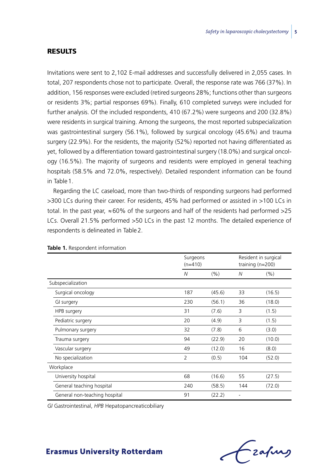### Results

Invitations were sent to 2,102 E-mail addresses and successfully delivered in 2,055 cases. In total, 207 respondents chose not to participate. Overall, the response rate was 766 (37%). In addition, 156 responses were excluded (retired surgeons 28%; functions other than surgeons or residents 3%; partial responses 69%). Finally, 610 completed surveys were included for further analysis. Of the included respondents, 410 (67.2%) were surgeons and 200 (32.8%) were residents in surgical training. Among the surgeons, the most reported subspecialization was gastrointestinal surgery (56.1%), followed by surgical oncology (45.6%) and trauma surgery (22.9%). For the residents, the majority (52%) reported not having differentiated as yet, followed by a differentiation toward gastrointestinal surgery (18.0%) and surgical oncology (16.5%). The majority of surgeons and residents were employed in general teaching hospitals (58.5% and 72.0%, respectively). Detailed respondent information can be found in Table1.

Regarding the LC caseload, more than two-thirds of responding surgeons had performed >300 LCs during their career. For residents, 45% had performed or assisted in >100 LCs in total. In the past year,  $\approx$  60% of the surgeons and half of the residents had performed >25 LCs. Overall 21.5% performed >50 LCs in the past 12 months. The detailed experience of respondents is delineated in Table2.

|                               | Surgeons<br>$(n=410)$ |        |                | Resident in surgical<br>training $(n=200)$ |
|-------------------------------|-----------------------|--------|----------------|--------------------------------------------|
|                               | N                     | (%)    | N              | (% )                                       |
| Subspecialization             |                       |        |                |                                            |
| Surgical oncology             | 187                   | (45.6) | 33             | (16.5)                                     |
| GI surgery                    | 230                   | (56.1) | 36             | (18.0)                                     |
| HPB surgery                   | 31                    | (7.6)  | 3              | (1.5)                                      |
| Pediatric surgery             | 20                    | (4.9)  | 3              | (1.5)                                      |
| Pulmonary surgery             | 32                    | (7.8)  | 6              | (3.0)                                      |
| Trauma surgery                | 94                    | (22.9) | 20             | (10.0)                                     |
| Vascular surgery              | 49                    | (12.0) | 16             | (8.0)                                      |
| No specialization             | $\overline{2}$        | (0.5)  | 104            | (52.0)                                     |
| Workplace                     |                       |        |                |                                            |
| University hospital           | 68                    | (16.6) | 55             | (27.5)                                     |
| General teaching hospital     | 240                   | (58.5) | 144            | (72.0)                                     |
| General non-teaching hospital | 91                    | (22.2) | $\overline{a}$ |                                            |

**Table 1.** Respondent information

*GI* Gastrointestinal, *HPB* Hepatopancreaticobiliary

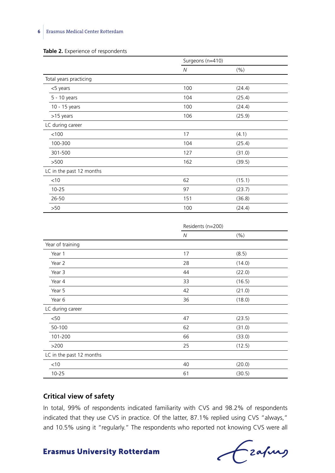### **6** Erasmus Medical Center Rotterdam

#### Table 2. Experience of respondents

|                          | Surgeons (n=410) |        |
|--------------------------|------------------|--------|
|                          | N                | (% )   |
| Total years practicing   |                  |        |
| <5 years                 | 100              | (24.4) |
| 5 - 10 years             | 104              | (25.4) |
| 10 - 15 years            | 100              | (24.4) |
| >15 years                | 106              | (25.9) |
| LC during career         |                  |        |
| < 100                    | 17               | (4.1)  |
| 100-300                  | 104              | (25.4) |
| 301-500                  | 127              | (31.0) |
| >500                     | 162              | (39.5) |
| LC in the past 12 months |                  |        |
| $<$ 10                   | 62               | (15.1) |
| $10 - 25$                | 97               | (23.7) |
| 26-50                    | 151              | (36.8) |
| >50                      | 100              | (24.4) |

|                          | Residents (n=200) |        |
|--------------------------|-------------------|--------|
|                          | N                 | (%)    |
| Year of training         |                   |        |
| Year 1                   | 17                | (8.5)  |
| Year 2                   | 28                | (14.0) |
| Year 3                   | 44                | (22.0) |
| Year 4                   | 33                | (16.5) |
| Year 5                   | 42                | (21.0) |
| Year 6                   | 36                | (18.0) |
| LC during career         |                   |        |
| $50$                     | 47                | (23.5) |
| 50-100                   | 62                | (31.0) |
| 101-200                  | 66                | (33.0) |
| >200                     | 25                | (12.5) |
| LC in the past 12 months |                   |        |
| $<$ 10                   | 40                | (20.0) |
| $10 - 25$                | 61                | (30.5) |

## **Critical view of safety**

In total, 99% of respondents indicated familiarity with CVS and 98.2% of respondents indicated that they use CVS in practice. Of the latter, 87.1% replied using CVS "always," and 10.5% using it "regularly." The respondents who reported not knowing CVS were all

Czapus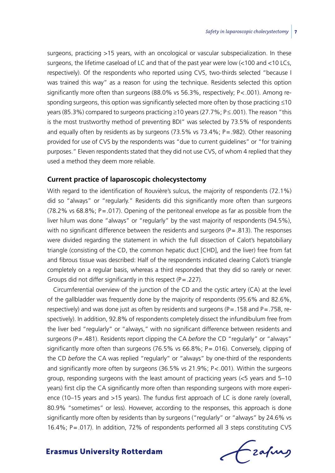surgeons, practicing >15 years, with an oncological or vascular subspecialization. In these surgeons, the lifetime caseload of LC and that of the past year were low (<100 and <10 LCs, respectively). Of the respondents who reported using CVS, two-thirds selected "because I was trained this way" as a reason for using the technique. Residents selected this option significantly more often than surgeons (88.0% vs 56.3%, respectively; P<.001). Among responding surgeons, this option was significantly selected more often by those practicing ≤10 years (85.3%) compared to surgeons practicing ≥10 years (27.7%; P≤.001). The reason "this is the most trustworthy method of preventing BDI" was selected by 73.5% of respondents and equally often by residents as by surgeons  $(73.5\% \text{ vs } 73.4\%; P = .982)$ . Other reasoning provided for use of CVS by the respondents was "due to current guidelines" or "for training purposes." Eleven respondents stated that they did not use CVS, of whom 4 replied that they used a method they deem more reliable.

## **Current practice of laparoscopic cholecystectomy**

With regard to the identification of Rouvière's sulcus, the majority of respondents (72.1%) did so "always" or "regularly." Residents did this significantly more often than surgeons  $(78.2\% \text{ vs } 68.8\%; P = .017)$ . Opening of the peritoneal envelope as far as possible from the liver hilum was done "always" or "regularly" by the vast majority of respondents (94.5%), with no significant difference between the residents and surgeons  $(P=.813)$ . The responses were divided regarding the statement in which the full dissection of Calot's hepatobiliary triangle (consisting of the CD, the common hepatic duct [CHD], and the liver) free from fat and fibrous tissue was described: Half of the respondents indicated clearing Calot's triangle completely on a regular basis, whereas a third responded that they did so rarely or never. Groups did not differ significantly in this respect  $(P = .227)$ .

Circumferential overview of the junction of the CD and the cystic artery (CA) at the level of the gallbladder was frequently done by the majority of respondents (95.6% and 82.6%, respectively) and was done just as often by residents and surgeons ( $P = 0.158$  and  $P = 0.758$ , respectively). In addition, 92.8% of respondents completely dissect the infundibulum free from the liver bed "regularly" or "always," with no significant difference between residents and surgeons (P=.481). Residents report clipping the CA *before* the CD "regularly" or "always" significantly more often than surgeons (76.5% vs  $66.8\%$ ; P = 0.016). Conversely, clipping of the CD *before* the CA was replied "regularly" or "always" by one-third of the respondents and significantly more often by surgeons (36.5% vs 21.9%; P<.001). Within the surgeons group, responding surgeons with the least amount of practicing years (<5 years and 5–10 years) first clip the CA significantly more often than responding surgeons with more experience (10–15 years and >15 years). The fundus first approach of LC is done rarely (overall, 80.9% "sometimes" or less). However, according to the responses, this approach is done significantly more often by residents than by surgeons ("regularly" or "always" by 24.6% vs 16.4%; P=.017). In addition, 72% of respondents performed all 3 steps constituting CVS

frafing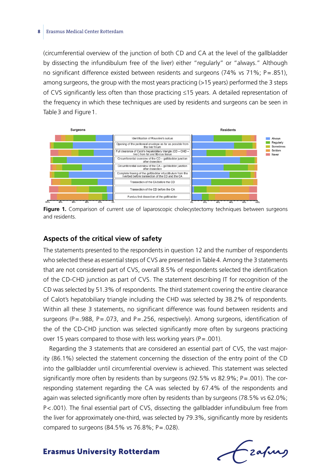#### **8** Erasmus Medical Center Rotterdam

(circumferential overview of the junction of both CD and CA at the level of the gallbladder by dissecting the infundibulum free of the liver) either "regularly" or "always." Although no significant difference existed between residents and surgeons (74% vs 71%; P=.851), among surgeons, the group with the most years practicing (>15 years) performed the 3 steps of CVS significantly less often than those practicing ≤15 years. A detailed representation of the frequency in which these techniques are used by residents and surgeons can be seen in Table 3 and Figure 1.



Figure 1. Comparison of current use of laparoscopic cholecystectomy techniques between surgeons and residents.

### **Aspects of the critical view of safety**

The statements presented to the respondents in question 12 and the number of respondents who selected these as essential steps of CVS are presented in Table4. Among the 3 statements that are not considered part of CVS, overall 8.5% of respondents selected the identification of the CD-CHD junction as part of CVS. The statement describing IT for recognition of the CD was selected by 51.3% of respondents. The third statement covering the entire clearance of Calot's hepatobiliary triangle including the CHD was selected by 38.2% of respondents. Within all these 3 statements, no significant difference was found between residents and surgeons ( $P = .988$ ,  $P = .073$ , and  $P = .256$ , respectively). Among surgeons, identification of the of the CD-CHD junction was selected significantly more often by surgeons practicing over 15 years compared to those with less working years ( $P = .001$ ).

Regarding the 3 statements that are considered an essential part of CVS, the vast majority (86.1%) selected the statement concerning the dissection of the entry point of the CD into the gallbladder until circumferential overview is achieved. This statement was selected significantly more often by residents than by surgeons (92.5% vs 82.9%; P=.001). The corresponding statement regarding the CA was selected by 67.4% of the respondents and again was selected significantly more often by residents than by surgeons (78.5% vs 62.0%; P<.001). The final essential part of CVS, dissecting the gallbladder infundibulum free from the liver for approximately one-third, was selected by 79.3%, significantly more by residents compared to surgeons (84.5% vs 76.8%; P=.028).

Lzafurs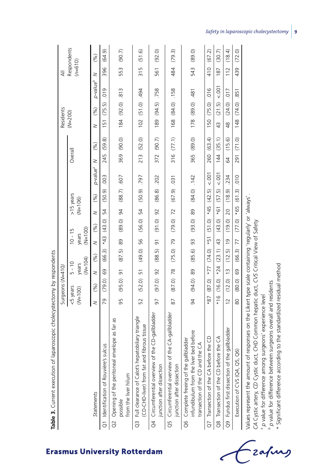| <b>TABLE 3.</b> Contribution of the Second Proposed on the Contribution of the Second Second Second Second Second Second Second Second Second Second Second Second Second Second Second Second Second Second Second Second Second S |                |                  |                    |                         |                    |             |                |                |                      |         |            |               |                 |                      |           |             |
|-------------------------------------------------------------------------------------------------------------------------------------------------------------------------------------------------------------------------------------|----------------|------------------|--------------------|-------------------------|--------------------|-------------|----------------|----------------|----------------------|---------|------------|---------------|-----------------|----------------------|-----------|-------------|
|                                                                                                                                                                                                                                     |                | Surgeons (N=410) |                    |                         |                    |             |                |                |                      |         |            |               | Residents       |                      | ₹         |             |
|                                                                                                                                                                                                                                     | <5 years       |                  | $5 - 10$           |                         | $10 - 15$          |             |                | >15 years      |                      | Overall |            | $(N=200)$     |                 |                      |           | Respondents |
|                                                                                                                                                                                                                                     | $(M=100)$      |                  | $(W=104)$<br>years |                         | $(M=100)$<br>years |             | $(M=106)$      |                |                      |         |            |               |                 |                      | $(n=610)$ |             |
| Statements                                                                                                                                                                                                                          | $\geq$         | (%)              | z                  | (%)                     | $\geq$             | (%)         | z              | (%)            | p-value <sup>a</sup> | $\geq$  | (%)        | $\geq$        | (%)             | p-value <sup>b</sup> | $\geq$    | (%)         |
| Q1 Identification of Rouvière's sulcus                                                                                                                                                                                              | 79             | (79.0)           | 69                 | (66.3)                  | $*43$              | (43.0)      | 54             | (50.9)         | .003                 | 245     | (59.8)     | 151           | (75.5)          | 019                  | 396       | (64.9)      |
| Q2 Opening of the peritoneal envelope as far as                                                                                                                                                                                     |                |                  |                    |                         |                    |             |                |                |                      |         |            |               |                 |                      |           |             |
| from the liver hilum<br>possible                                                                                                                                                                                                    | 95             | $(95.0)$ 91      |                    | (87.5)                  | 89                 | $(89.0)$ 94 |                | $(88.7)$ .607  |                      |         | 369 (90.0) |               | 184 (92.0)      | .813                 | 553       | (90.7)      |
| Q3 Full clearance of Calot's hepatobiliary triangle<br>(CD-CHD-liver) from fat and fibrous tissue                                                                                                                                   | 52             | (52.0)           | $\overline{51}$    | (49.0)                  | 56                 | (56.0) 54   |                | $(50.9)$ . 797 |                      |         | 213 (52.0) |               | 102 (51.0) .494 |                      | 315       | (51.6)      |
| Q4 Circumferential overview of the CD-gallbladder<br>junction after dissection                                                                                                                                                      | 97             | $(97.0)$ 92      |                    | (88.5)                  | $\overline{5}$     | (0.19)      | $\overline{9}$ | (86.8)         | .202                 | 372     | (90.7)     | 189           | (94.5)          | .758                 | 561       | (92.0)      |
| the CA-gallbladder<br>Q5 Circumferential overview of<br>junction after dissection                                                                                                                                                   | 87             | $(87.0)$ 78      |                    | $(75.0)$ 79             |                    | $(79.0)$ 72 |                | (67.9)         | .031                 | 316     | (77.1)     | 168           | $(84.0)$ . 158  |                      | 484       | (79.3)      |
| infundibulum from the liver bed before<br>Q6 Complete freeing of the gallbladder<br>transection of the CD and the CA                                                                                                                | 94             | (94.0)           | 89                 | (85.6)                  | 93                 | (93.0)      | 89             | $(84.0)$ . 142 |                      | 365     | (0.68)     | 178           | (89.0)          | $-481$               | 543       | (89.0)      |
| Q7 Transection of the CA before the CD                                                                                                                                                                                              | $*87$          |                  |                    | $(87.0)$ $*77$ $(74.0)$ | $*51$              | (51.0)      | $*45$          | (42.5)         | 5001                 | 260     | (63.4)     | 150           | (75.0)          | .016                 | 410       | (67.2)      |
| Transection of the CD before the CA<br>.<br>8                                                                                                                                                                                       | $*16$          |                  |                    | $(16.0) *24 (23.1) 43$  |                    | (43.0)      | $-19*$         | (57.5)         | 5001                 | 144     | (35.1)     | $\frac{4}{3}$ | (21.5)          | 5001                 | 187       | (30.7)      |
| Q9 Fundus first dissection of the gallbladder                                                                                                                                                                                       | $\overline{c}$ | $(12.0)$ 13      |                    | (12.5)                  | $\frac{1}{2}$      | (19.0)      | 20             | (18.9)         | .234                 | 64      | (15.6)     | $\frac{8}{4}$ | (24.0)          | .017                 | 112       | (18.4)      |
| ලි<br>Execution of CVS (Q4, Q5,                                                                                                                                                                                                     | 80             | (80.0)           | 69                 | (66.3)                  | 77                 | (77.0)      | $*65$          | (61.3)         | 010                  | 291     | (71.0)     | 148           | (74.0)          | 851                  | 439       | (72.0)      |
| responses on the Likert type scale containing 'regularly' or 'always'<br>CA Cystic artery, CD Cystic duct, CHD Common hepatic duct, CVS Critical View of Safety<br>Values represent the amount of                                   |                |                  |                    |                         |                    |             |                |                |                      |         |            |               |                 |                      |           |             |

Table 3 Current evecution of Janaroscopic cholecystectomy by respondents **Table 3.** Current execution of laparoscopic cholecystectomy by respondents

**Erasmus University Rotterdam** 

*p* value for difference among surgeons' experience level

a a

zafurg

*p* value for difference between surgeons overall and residents

 $\ast$  Significant difference according to the standardized residual method

**9**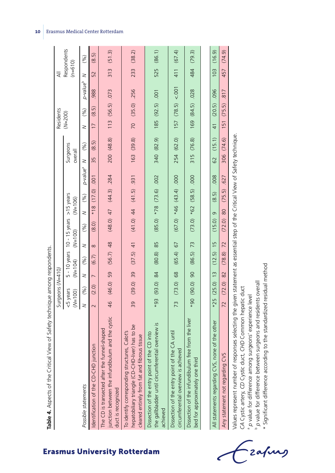| くらく ちょうこうこう うらく<br>l                                                                                                                                                                                                           |                                           |
|--------------------------------------------------------------------------------------------------------------------------------------------------------------------------------------------------------------------------------|-------------------------------------------|
| l                                                                                                                                                                                                                              |                                           |
| <br>j                                                                                                                                                                                                                          |                                           |
| J<br>)<br>5<br>Ì                                                                                                                                                                                                               |                                           |
|                                                                                                                                                                                                                                |                                           |
| is a factor of the contract of the contract of the contract of the contract of the contract of the contract of the contract of the contract of the contract of the contract of the contract of the contract of the contract of |                                           |
| $-1 - 1 - 1$                                                                                                                                                                                                                   |                                           |
| l                                                                                                                                                                                                                              | ֖֖֖֖֖֖֖֪ׅ֪֪ׅ֚֚֚֚֚֚֚֚֚֚֚֚֚֚֚֬֝֝֝֝֝֝֝֝֝֝֝֬֝ |
| j                                                                                                                                                                                                                              |                                           |

|                                                                                                                                                  |                       | Surgeons (N=410)          |                |             |           |                                            |           |                             |                        |                     |                               | Residents |                |                        | ₹          |             |
|--------------------------------------------------------------------------------------------------------------------------------------------------|-----------------------|---------------------------|----------------|-------------|-----------|--------------------------------------------|-----------|-----------------------------|------------------------|---------------------|-------------------------------|-----------|----------------|------------------------|------------|-------------|
|                                                                                                                                                  | <5 years<br>$(M=100)$ |                           |                | $(M=104)$   | $(M=100)$ | $5 - 10$ years $10 - 15$ years $>15$ years | $(N=106)$ |                             |                        | Surgeons<br>overall |                               | $(N=200)$ |                |                        | $(n=610)$  | Respondents |
| Possible statements                                                                                                                              |                       | (%)                       | $\geq$         | (%)         | $\geq$    | (%)                                        |           | $N \qquad (96)$             | p-value <sup>a</sup> N |                     | (%)                           | $\geq$    | $(\%)$         | p-value <sup>b</sup> M |            | (%)         |
| Identification of the CD-CHD junction                                                                                                            |                       | (2.0)                     | $\overline{a}$ | (6.7)       | $\infty$  | (8.0)                                      |           | *18 $(17.0)$ 0.01           |                        | 55                  | (8.5)                         |           | (8.5)          | 988.                   | 52         | (8.5)       |
| junction between the infundibulum and the cystic<br>The CD is transected after the funnel-shaped<br>duct is recognized                           |                       | 46 (46.0) 59              |                | $(56.7)$ 48 |           |                                            |           | $(48.0)$ 47 $(44.3)$ .284   |                        |                     | 200 (48.8)                    |           | 113 (56.5) 073 |                        | 313 (51.3) |             |
| hepatobiliary triangle (CD-CHD-liver) has to be<br>To identify corresponding structures, Calot's<br>cleared entirely from fat and fibrous tissue |                       | 39 (39.0) 39 (37.5) 41    |                |             |           | $156$ (5.17) 44 (0.15) 31                  |           |                             |                        |                     | 163 (39.8) 70 (35.0) 256      |           |                |                        | 233 (38.2) |             |
| the gallbladder until circumferential overview is<br>Dissection of the entry point of the CD into<br>achieved                                    |                       | $-88$ (93.0) 84 (93.0) 85 |                |             |           |                                            |           | $(85.0) * 78$ $(73.6) .002$ |                        |                     | 340 (82.9) 185 (92.5) 001     |           |                |                        | 525 (86.1) |             |
| Dissection of the entry point of the CA until<br>circumferential overview is achieved                                                            |                       | 73 (73.0) 68 (65.4) 67    |                |             |           |                                            |           | $(67.0) *46 (43.4) .000$    |                        |                     | $254 (62.0)$ 157 (78.5) <.001 |           |                |                        | 411 (67.4) |             |
| Dissection of the infundibulum free from the liver<br>bed for approximately one third                                                            |                       | 06(0.00, 06)              |                | $(86.5)$ 73 |           |                                            |           | $(73.0) *62$ $(58.5)$ 000   |                        |                     | 315 (76.8)                    |           | 169 (84.5) 028 |                        | 484 (79.3) |             |
|                                                                                                                                                  |                       |                           |                |             |           |                                            |           |                             |                        |                     |                               |           |                |                        |            |             |

All statements regarding CVS, none of the other \*25 (25.0) 13 (12.5) 15 (12.5) .008 62 (15.1) 41 (20.5) .096 103 (16.9) Any statement not regarding CVS 72 (72.0) 82 (78.8) 72 (75.5) .627 306 (74.6) 151 (75.5) .817 457 (74.9) 103 457 .096 817  $(20.5)$  $(75.5)$ 151  $41$  $(15.1)$  $(74.6)$ 306 62 .008 .627  $(75.5)$  $(8.5)$ 80  $\circ$  $(15.0)$  $(72.0)$  $\frac{15}{2}$ 72  $(78.8)$  $(12.5)$  $\frac{1}{3}$ 82  $(72.0)$  $*25$   $(25.0)$  $\overline{72}$ All statements regarding CVS, none of the other Any statement not regarding CVS

 $(74.9)$  $(16.9)$ 

> values represent number of responses selecting the given statement as essential step of the Critical View of Safety technique. Values represent number of responses selecting the given statement as essential step of the Critical View of Safety technique.

CA Cystic artery, CD Cystic duct, CHD Common hepatic duct *CA* Cystic artery, *CD* Cystic duct, *CHD* Common hepatic duct

<sup>a</sup> p value for difference among surgeons' experience level *p* value for difference among surgeons' experience level

*p* value for difference between surgeons and residents overall

b value for difference between surgeons and residents overall<br>\* Significant difference according to the standardized residual method  $\ast$  Significant difference according to the standardized residual method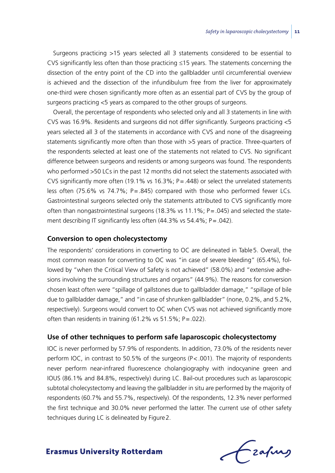Surgeons practicing >15 years selected all 3 statements considered to be essential to CVS significantly less often than those practicing ≤15 years. The statements concerning the dissection of the entry point of the CD into the gallbladder until circumferential overview is achieved and the dissection of the infundibulum free from the liver for approximately one-third were chosen significantly more often as an essential part of CVS by the group of surgeons practicing <5 years as compared to the other groups of surgeons.

Overall, the percentage of respondents who selected only and all 3 statements in line with CVS was 16.9%. Residents and surgeons did not differ significantly. Surgeons practicing <5 years selected all 3 of the statements in accordance with CVS and none of the disagreeing statements significantly more often than those with >5 years of practice. Three-quarters of the respondents selected at least one of the statements not related to CVS. No significant difference between surgeons and residents or among surgeons was found. The respondents who performed >50 LCs in the past 12 months did not select the statements associated with CVS significantly more often (19.1% vs 16.3%;  $P = .448$ ) or select the unrelated statements less often (75.6% vs 74.7%; P=.845) compared with those who performed fewer LCs. Gastrointestinal surgeons selected only the statements attributed to CVS significantly more often than nongastrointestinal surgeons (18.3% vs 11.1%;  $P = .045$ ) and selected the statement describing IT significantly less often (44.3% vs 54.4%; P=.042).

### **Conversion to open cholecystectomy**

The respondents' considerations in converting to OC are delineated in Table5. Overall, the most common reason for converting to OC was "in case of severe bleeding" (65.4%), followed by "when the Critical View of Safety is not achieved" (58.0%) and "extensive adhesions involving the surrounding structures and organs" (44.9%). The reasons for conversion chosen least often were "spillage of gallstones due to gallbladder damage," "spillage of bile due to gallbladder damage," and "in case of shrunken gallbladder" (none, 0.2%, and 5.2%, respectively). Surgeons would convert to OC when CVS was not achieved significantly more often than residents in training  $(61.2\% \text{ vs } 51.5\%; P = .022)$ .

### **Use of other techniques to perform safe laparoscopic cholecystectomy**

IOC is never performed by 57.9% of respondents. In addition, 73.0% of the residents never perform IOC, in contrast to 50.5% of the surgeons  $(P < .001)$ . The majority of respondents never perform near-infrared fluorescence cholangiography with indocyanine green and IOUS (86.1% and 84.8%, respectively) during LC. Bail-out procedures such as laparoscopic subtotal cholecystectomy and leaving the gallbladder in situ are performed by the majority of respondents (60.7% and 55.7%, respectively). Of the respondents, 12.3% never performed the first technique and 30.0% never performed the latter. The current use of other safety techniques during LC is delineated by Figure2.

Frafing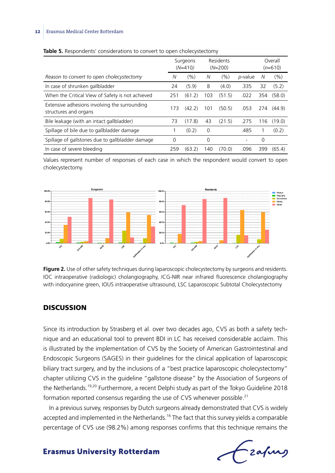#### 12 Erasmus Medical Center Rotterdam

|                                                                        |     | Surgeons<br>$(N=410)$ |     | Residents<br>$(N=200)$ |                          |     | Overall<br>$(n=610)$ |
|------------------------------------------------------------------------|-----|-----------------------|-----|------------------------|--------------------------|-----|----------------------|
| Reason to convert to open cholecystectomy                              | N   | (%)                   | N   | (%)                    | p-value                  | N   | (9/6)                |
| In case of shrunken gallbladder                                        | 24  | (5.9)                 | 8   | (4.0)                  | .335                     | 32  | (5.2)                |
| When the Critical View of Safety is not achieved                       | 251 | (61.2)                | 103 | (51.5)                 | .022                     | 354 | (58.0)               |
| Extensive adhesions involving the surrounding<br>structures and organs | 173 | (42.2)                | 101 | (50.5)                 | .053                     | 274 | (44.9)               |
| Bile leakage (with an intact gallbladder)                              | 73  | (17.8)                | 43  | (21.5)                 | .275                     | 116 | (19.0)               |
| Spillage of bile due to gallbladder damage                             |     | (0.2)                 | 0   |                        | .485                     |     | (0.2)                |
| Spillage of gallstones due to gallbladder damage                       | 0   |                       | 0   |                        | $\overline{\phantom{a}}$ | 0   |                      |
| In case of severe bleeding                                             | 259 | (63.2)                | 140 | (70.0)                 | .096                     | 399 | (65.4)               |

#### Table 5. Respondents' considerations to convert to open cholecystectomy

Values represent number of responses of each case in which the respondent would convert to open cholecystectomy.



**Figure 2.** Use of other safety techniques during laparoscopic cholecystectomy by surgeons and residents. IOC intraoperative (radiologic) cholangiography, ICG-NIR near infrared fluorescence cholangiography with indocyanine green, IOUS intraoperative ultrasound, LSC Laparoscopic Subtotal Cholecystectomy

## **DISCUSSION**

Since its introduction by Strasberg et al. over two decades ago, CVS as both a safety technique and an educational tool to prevent BDI in LC has received considerable acclaim. This is illustrated by the implementation of CVS by the Society of American Gastrointestinal and Endoscopic Surgeons (SAGES) in their guidelines for the clinical application of laparoscopic biliary tract surgery, and by the inclusions of a "best practice laparoscopic cholecystectomy" chapter utilizing CVS in the guideline "gallstone disease" by the Association of Surgeons of the Netherlands.<sup>19,20</sup> Furthermore, a recent Delphi study as part of the Tokyo Guideline 2018 formation reported consensus regarding the use of CVS whenever possible.<sup>21</sup>

In a previous survey, responses by Dutch surgeons already demonstrated that CVS is widely accepted and implemented in the Netherlands.<sup>16</sup> The fact that this survey yields a comparable percentage of CVS use (98.2%) among responses confirms that this technique remains the

frafing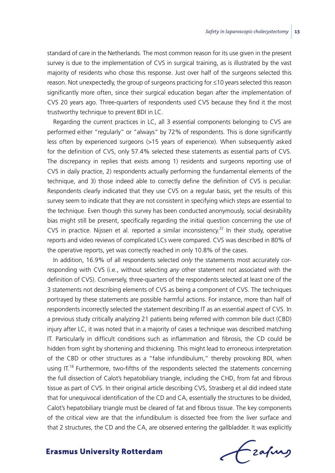standard of care in the Netherlands. The most common reason for its use given in the present survey is due to the implementation of CVS in surgical training, as is illustrated by the vast majority of residents who chose this response. Just over half of the surgeons selected this reason. Not unexpectedly, the group of surgeons practicing for ≤10 years selected this reason significantly more often, since their surgical education began after the implementation of CVS 20 years ago. Three-quarters of respondents used CVS because they find it the most trustworthy technique to prevent BDI in LC.

Regarding the current practices in LC, all 3 essential components belonging to CVS are performed either "regularly" or "always" by 72% of respondents. This is done significantly less often by experienced surgeons (>15 years of experience). When subsequently asked for the definition of CVS, only 57.4% selected these statements as essential parts of CVS. The discrepancy in replies that exists among 1) residents and surgeons reporting use of CVS in daily practice, 2) respondents actually performing the fundamental elements of the technique, and 3) those indeed able to correctly define the definition of CVS is peculiar. Respondents clearly indicated that they use CVS on a regular basis, yet the results of this survey seem to indicate that they are not consistent in specifying which steps are essential to the technique. Even though this survey has been conducted anonymously, social desirability bias might still be present, specifically regarding the initial question concerning the use of CVS in practice. Nijssen et al. reported a similar inconsistency.<sup>22</sup> In their study, operative reports and video reviews of complicated LCs were compared. CVS was described in 80% of the operative reports, yet was correctly reached in only 10.8% of the cases.

In addition, 16.9% of all respondents selected *only* the statements most accurately corresponding with CVS (i.e., without selecting *any* other statement not associated with the definition of CVS). Conversely, three-quarters of the respondents selected at least one of the 3 statements not describing elements of CVS as being a component of CVS. The techniques portrayed by these statements are possible harmful actions. For instance, more than half of respondents incorrectly selected the statement describing IT as an essential aspect of CVS. In a previous study critically analyzing 21 patients being referred with common bile duct (CBD) injury after LC, it was noted that in a majority of cases a technique was described matching IT. Particularly in difficult conditions such as inflammation and fibrosis, the CD could be hidden from sight by shortening and thickening. This might lead to erroneous interpretation of the CBD or other structures as a "false infundibulum," thereby provoking BDI, when using  $IT<sup>18</sup>$  Furthermore, two-fifths of the respondents selected the statements concerning the full dissection of Calot's hepatobiliary triangle, including the CHD, from fat and fibrous tissue as part of CVS. In their original article describing CVS, Strasberg et al did indeed state that for unequivocal identification of the CD and CA, essentially the structures to be divided, Calot's hepatobiliary triangle must be cleared of fat and fibrous tissue. The key components of the critical view are that the infundibulum is dissected free from the liver surface and that 2 structures, the CD and the CA, are observed entering the gallbladder. It was explicitly

frafing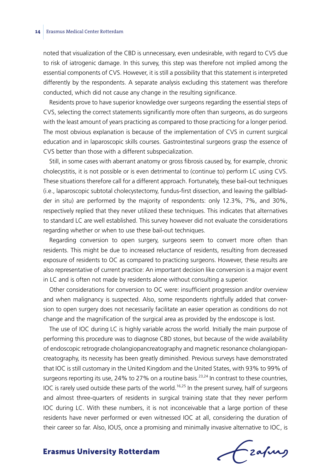noted that visualization of the CBD is unnecessary, even undesirable, with regard to CVS due to risk of iatrogenic damage. In this survey, this step was therefore not implied among the essential components of CVS. However, it is still a possibility that this statement is interpreted differently by the respondents. A separate analysis excluding this statement was therefore conducted, which did not cause any change in the resulting significance.

Residents prove to have superior knowledge over surgeons regarding the essential steps of CVS, selecting the correct statements significantly more often than surgeons, as do surgeons with the least amount of years practicing as compared to those practicing for a longer period. The most obvious explanation is because of the implementation of CVS in current surgical education and in laparoscopic skills courses. Gastrointestinal surgeons grasp the essence of CVS better than those with a different subspecialization.

Still, in some cases with aberrant anatomy or gross fibrosis caused by, for example, chronic cholecystitis, it is not possible or is even detrimental to (continue to) perform LC using CVS. These situations therefore call for a different approach. Fortunately, these bail-out techniques (i.e., laparoscopic subtotal cholecystectomy, fundus-first dissection, and leaving the gallbladder in situ) are performed by the majority of respondents: only 12.3%, 7%, and 30%, respectively replied that they never utilized these techniques. This indicates that alternatives to standard LC are well established. This survey however did not evaluate the considerations regarding whether or when to use these bail-out techniques.

Regarding conversion to open surgery, surgeons seem to convert more often than residents. This might be due to increased reluctance of residents, resulting from decreased exposure of residents to OC as compared to practicing surgeons. However, these results are also representative of current practice: An important decision like conversion is a major event in LC and is often not made by residents alone without consulting a superior.

Other considerations for conversion to OC were: insufficient progression and/or overview and when malignancy is suspected. Also, some respondents rightfully added that conversion to open surgery does not necessarily facilitate an easier operation as conditions do not change and the magnification of the surgical area as provided by the endoscope is lost.

The use of IOC during LC is highly variable across the world. Initially the main purpose of performing this procedure was to diagnose CBD stones, but because of the wide availability of endoscopic retrograde cholangiopancreatography and magnetic resonance cholangiopancreatography, its necessity has been greatly diminished. Previous surveys have demonstrated that IOC is still customary in the United Kingdom and the United States, with 93% to 99% of surgeons reporting its use,  $24\%$  to  $27\%$  on a routine basis.<sup>23,24</sup> In contrast to these countries, IOC is rarely used outside these parts of the world.<sup>16,25</sup> In the present survey, half of surgeons and almost three-quarters of residents in surgical training state that they never perform IOC during LC. With these numbers, it is not inconceivable that a large portion of these residents have never performed or even witnessed IOC at all, considering the duration of their career so far. Also, IOUS, once a promising and minimally invasive alternative to IOC, is

Frahing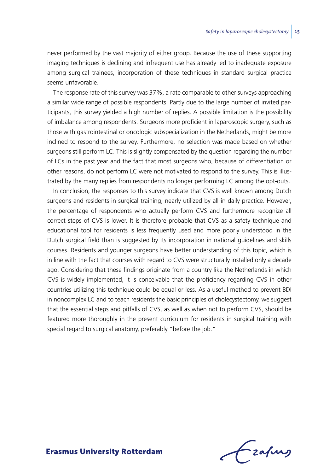never performed by the vast majority of either group. Because the use of these supporting imaging techniques is declining and infrequent use has already led to inadequate exposure among surgical trainees, incorporation of these techniques in standard surgical practice seems unfavorable.

The response rate of this survey was 37%, a rate comparable to other surveys approaching a similar wide range of possible respondents. Partly due to the large number of invited participants, this survey yielded a high number of replies. A possible limitation is the possibility of imbalance among respondents. Surgeons more proficient in laparoscopic surgery, such as those with gastrointestinal or oncologic subspecialization in the Netherlands, might be more inclined to respond to the survey. Furthermore, no selection was made based on whether surgeons still perform LC. This is slightly compensated by the question regarding the number of LCs in the past year and the fact that most surgeons who, because of differentiation or other reasons, do not perform LC were not motivated to respond to the survey. This is illustrated by the many replies from respondents no longer performing LC among the opt-outs.

In conclusion, the responses to this survey indicate that CVS is well known among Dutch surgeons and residents in surgical training, nearly utilized by all in daily practice. However, the percentage of respondents who actually perform CVS and furthermore recognize all correct steps of CVS is lower. It is therefore probable that CVS as a safety technique and educational tool for residents is less frequently used and more poorly understood in the Dutch surgical field than is suggested by its incorporation in national guidelines and skills courses. Residents and younger surgeons have better understanding of this topic, which is in line with the fact that courses with regard to CVS were structurally installed only a decade ago. Considering that these findings originate from a country like the Netherlands in which CVS is widely implemented, it is conceivable that the proficiency regarding CVS in other countries utilizing this technique could be equal or less. As a useful method to prevent BDI in noncomplex LC and to teach residents the basic principles of cholecystectomy, we suggest that the essential steps and pitfalls of CVS, as well as when not to perform CVS, should be featured more thoroughly in the present curriculum for residents in surgical training with special regard to surgical anatomy, preferably "before the job."

Frahing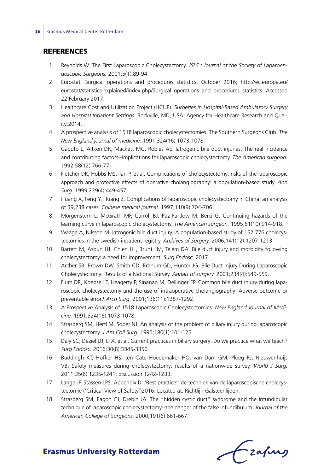## **REFERENCES**

- 1. Reynolds W. The First Laparoscopic Cholecystectomy. *JSLS : Journal of the Society of Laparoendoscopic Surgeons.* 2001;5(1):89-94.
- 2. Eurostat. Surgical operations and procedures statistics. October 2016; http://ec.europa.eu/ eurostat/statistics-explained/index.php/Surgical\_operations\_and\_procedures\_statistics. Accessed 22 February 2017.
- 3. Healthcare Cost and Utilization Project (HCUP). *Surgeries in Hospital-Based Ambulatory Surgery and Hospital Inpatient Settings.* Rockville, MD, USA: Agency for Healthcare Research and Quality;2014.
- 4. A prospective analysis of 1518 laparoscopic cholecystectomies. The Southern Surgeons Club. *The New England journal of medicine.* 1991;324(16):1073-1078.
- 5. Caputo L, Aitken DR, Mackett MC, Robles AE. Iatrogenic bile duct injuries. The real incidence and contributing factors--implications for laparoscopic cholecystectomy. *The American surgeon.* 1992;58(12):766-771.
- 6. Fletcher DR, Hobbs MS, Tan P, et al. Complications of cholecystectomy: risks of the laparoscopic approach and protective effects of operative cholangiography: a population-based study. *Ann Surg.* 1999;229(4):449-457.
- 7. Huang X, Feng Y, Huang Z. Complications of laparoscopic cholecystectomy in China: an analysis of 39,238 cases. *Chinese medical journal.* 1997;110(9):704-706.
- 8. Morgenstern L, McGrath MF, Carroll BJ, Paz-Partlow M, Berci G. Continuing hazards of the learning curve in laparoscopic cholecystectomy. *The American surgeon.* 1995;61(10):914-918.
- 9. Waage A, Nilsson M. Iatrogenic bile duct injury: A population-based study of 152 776 cholecystectomies in the swedish inpatient registry. *Archives of Surgery.* 2006;141(12):1207-1213.
- 10. Barrett M, Asbun HJ, Chien HL, Brunt LM, Telem DA. Bile duct injury and morbidity following cholecystectomy: a need for improvement. *Surg Endosc.* 2017.
- 11. Archer SB, Brown DW, Smith CD, Branum GD, Hunter JG. Bile Duct Injury During Laparoscopic Cholecystectomy: Results of a National Survey. *Annals of surgery.* 2001;234(4):549-559.
- 12. Flum DR, Koepsell T, Heagerty P, Sinanan M, Dellinger EP. Common bile duct injury during laparoscopic cholecystectomy and the use of intraoperative cholangiography: Adverse outcome or preventable error? *Arch Surg.* 2001;136(11):1287-1292.
- 13. A Prospective Analysis of 1518 Laparoscopic Cholecystectomies. *New England Journal of Medicine.* 1991;324(16):1073-1078.
- 14. Strasberg SM, Hertl M, Soper NJ. An analysis of the problem of biliary injury during laparoscopic cholecystectomy. *J Am Coll Surg.* 1995;180(1):101-125.
- 15. Daly SC, Deziel DJ, Li X, et al. Current practices in biliary surgery: Do we practice what we teach? *Surg Endosc.* 2016;30(8):3345-3350.
- 16. Buddingh KT, Hofker HS, ten Cate Hoedemaker HO, van Dam GM, Ploeg RJ, Nieuwenhuijs VB. Safety measures during cholecystectomy: results of a nationwide survey. *World J Surg.* 2011;35(6):1235-1241; discussion 1242-1233.
- 17. Lange JF, Stassen LPS. Appendix D: 'Best practice': de techniek van de laparoscopische cholecystectomie ('Critical View of Safety')2016. Located at: Richtlijn Galsteenlijden.
- 18. Strasberg SM, Eagon CJ, Drebin JA. The "hidden cystic duct" syndrome and the infundibular technique of laparoscopic cholecystectomy--the danger of the false infundibulum. *Journal of the American College of Surgeons.* 2000;191(6):661-667.

Czafing